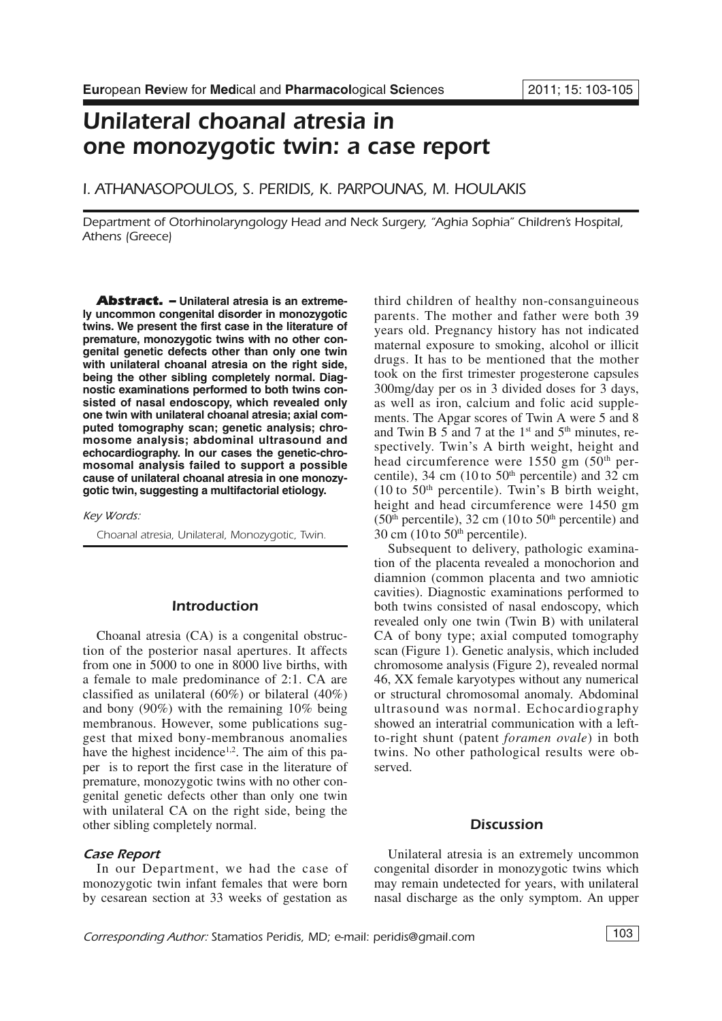# *Unilateral choanal atresia in one monozygotic twin: a case report*

*I. ATHANASOPOULOS, S. PERIDIS, K. PARPOUNAS, M. HOULAKIS*

*Department of Otorhinolaryngology Head and Neck Surgery, "Aghia Sophia" Children's Hospital, Athens (Greece)*

*Abstract. –* **Unilateral atresia is an extremely uncommon congenital disorder in monozygotic twins. We present the first case in the literature of premature, monozygotic twins with no other congenital genetic defects other than only one twin with unilateral choanal atresia on the right side, being the other sibling completely normal. Diagnostic examinations performed to both twins consisted of nasal endoscopy, which revealed only one twin with unilateral choanal atresia; axial computed tomography scan; genetic analysis; chromosome analysis; abdominal ultrasound and echocardiography. In our cases the genetic-chromosomal analysis failed to support a possible cause of unilateral choanal atresia in one monozygotic twin, suggesting a multifactorial etiology.**

*Key Words:*

*Choanal atresia, Unilateral, Monozygotic, Twin.*

## *Introduction*

Choanal atresia (CA) is a congenital obstruction of the posterior nasal apertures. It affects from one in 5000 to one in 8000 live births, with a female to male predominance of 2:1. CA are classified as unilateral (60%) or bilateral (40%) and bony (90%) with the remaining 10% being membranous. However, some publications suggest that mixed bony-membranous anomalies have the highest incidence<sup>1,2</sup>. The aim of this paper is to report the first case in the literature of premature, monozygotic twins with no other congenital genetic defects other than only one twin with unilateral CA on the right side, being the other sibling completely normal.

### *Case Report*

In our Department, we had the case of monozygotic twin infant females that were born by cesarean section at 33 weeks of gestation as third children of healthy non-consanguineous parents. The mother and father were both 39 years old. Pregnancy history has not indicated maternal exposure to smoking, alcohol or illicit drugs. It has to be mentioned that the mother took on the first trimester progesterone capsules 300mg/day per os in 3 divided doses for 3 days, as well as iron, calcium and folic acid supplements. The Apgar scores of Twin A were 5 and 8 and Twin B 5 and 7 at the  $1<sup>st</sup>$  and  $5<sup>th</sup>$  minutes, respectively. Twin's A birth weight, height and head circumference were 1550 gm (50<sup>th</sup> percentile), 34 cm (10 to  $50<sup>th</sup>$  percentile) and 32 cm  $(10 \text{ to } 50^{\text{th}})$  percentile). Twin's B birth weight, height and head circumference were 1450 gm  $(50<sup>th</sup> percentile)$ , 32 cm  $(10<sup>th</sup>50<sup>th</sup> percentile)$  and  $30 \text{ cm}$  (10 to  $50^{\text{th}}$  percentile).

Subsequent to delivery, pathologic examination of the placenta revealed a monochorion and diamnion (common placenta and two amniotic cavities). Diagnostic examinations performed to both twins consisted of nasal endoscopy, which revealed only one twin (Twin B) with unilateral CA of bony type; axial computed tomography scan (Figure 1). Genetic analysis, which included chromosome analysis (Figure 2), revealed normal 46, XX female karyotypes without any numerical or structural chromosomal anomaly. Abdominal ultrasound was normal. Echocardiography showed an interatrial communication with a leftto-right shunt (patent *foramen ovale*) in both twins. No other pathological results were observed.

#### *Discussion*

Unilateral atresia is an extremely uncommon congenital disorder in monozygotic twins which may remain undetected for years, with unilateral nasal discharge as the only symptom. An upper

*Corresponding Author: Stamatios Peridis, MD; e-mail: peridis@gmail.com* 103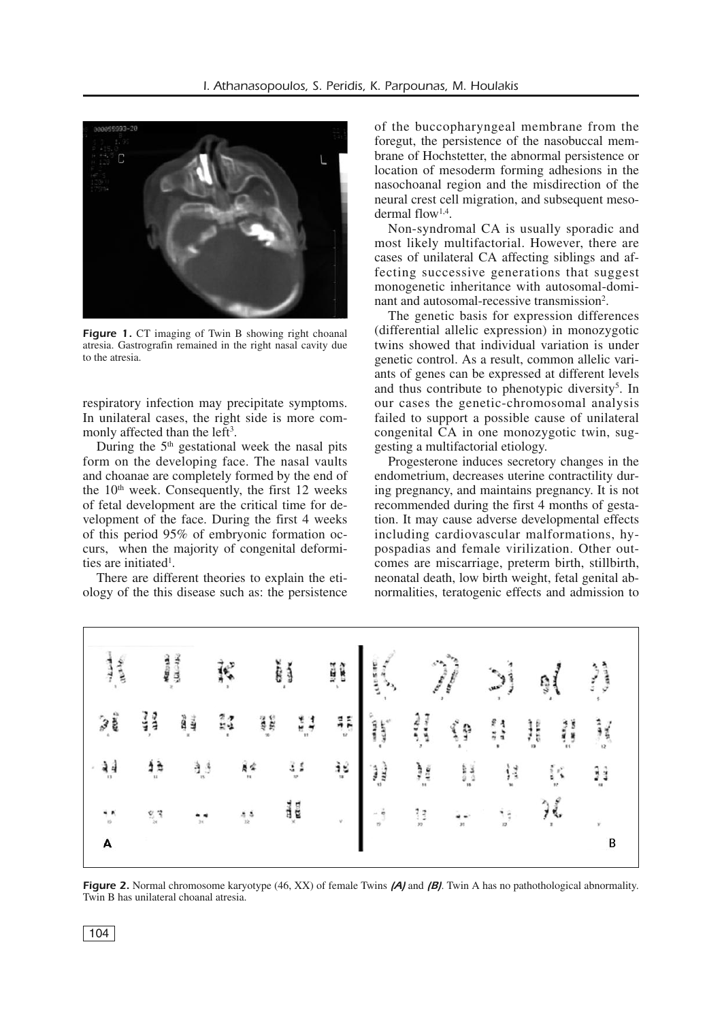

**Figure 1.** CT imaging of Twin B showing right choanal atresia. Gastrografin remained in the right nasal cavity due to the atresia.

respiratory infection may precipitate symptoms. In unilateral cases, the right side is more commonly affected than the left<sup>3</sup>.

During the 5th gestational week the nasal pits form on the developing face. The nasal vaults and choanae are completely formed by the end of the  $10<sup>th</sup>$  week. Consequently, the first 12 weeks of fetal development are the critical time for development of the face. During the first 4 weeks of this period 95% of embryonic formation occurs, when the majority of congenital deformities are initiated<sup>1</sup>.

There are different theories to explain the etiology of the this disease such as: the persistence of the buccopharyngeal membrane from the foregut, the persistence of the nasobuccal membrane of Hochstetter, the abnormal persistence or location of mesoderm forming adhesions in the nasochoanal region and the misdirection of the neural crest cell migration, and subsequent mesodermal flow1,4 .

Non-syndromal CA is usually sporadic and most likely multifactorial. However, there are cases of unilateral CA affecting siblings and affecting successive generations that suggest monogenetic inheritance with autosomal-dominant and autosomal-recessive transmission<sup>2</sup>.

The genetic basis for expression differences (differential allelic expression) in monozygotic twins showed that individual variation is under genetic control. As a result, common allelic variants of genes can be expressed at different levels and thus contribute to phenotypic diversity<sup>5</sup>. In our cases the genetic-chromosomal analysis failed to support a possible cause of unilateral congenital CA in one monozygotic twin, suggesting a multifactorial etiology.

Progesterone induces secretory changes in the endometrium, decreases uterine contractility during pregnancy, and maintains pregnancy. It is not recommended during the first 4 months of gestation. It may cause adverse developmental effects including cardiovascular malformations, hypospadias and female virilization. Other outcomes are miscarriage, preterm birth, stillbirth, neonatal death, low birth weight, fetal genital abnormalities, teratogenic effects and admission to



*Figure 2.* Normal chromosome karyotype (46, XX) of female Twins *(A)* and *(B)*. Twin A has no pathothological abnormality. Twin B has unilateral choanal atresia.